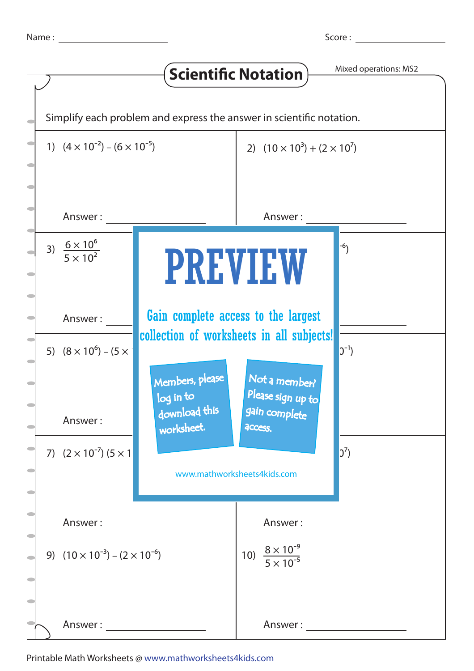|                                                                      |                                     | <b>Scientific Notation</b>                              | Mixed operations: MS2 |  |  |
|----------------------------------------------------------------------|-------------------------------------|---------------------------------------------------------|-----------------------|--|--|
| Simplify each problem and express the answer in scientific notation. |                                     |                                                         |                       |  |  |
| 1) $(4 \times 10^{-2}) - (6 \times 10^{-5})$                         |                                     | 2) $(10 \times 10^3) + (2 \times 10^7)$                 |                       |  |  |
| Answer:                                                              |                                     |                                                         | Answer:               |  |  |
| 3) $\frac{6 \times 10^6}{5 \times 10^2}$                             | <b>PREVIEW</b>                      |                                                         | $-6$ )                |  |  |
| Answer:                                                              | Gain complete access to the largest | collection of worksheets in all subjects!               |                       |  |  |
| 5) $(8 \times 10^6) - (5 \times$                                     | Members, please<br>log in to        | Not a member?<br>Please sign up to                      | $ 0^{-1}\rangle$      |  |  |
| Answer:<br>7) $(2 \times 10^{-7})$ $(5 \times 1)$                    | download this<br>worksheet.         | gain complete<br>access.<br>www.mathworksheets4kids.com | $0^7$                 |  |  |
| Answer: _____________________                                        |                                     |                                                         |                       |  |  |
| 9) $(10 \times 10^{-3}) - (2 \times 10^{-6})$                        |                                     | 10) $\frac{8 \times 10^{-9}}{5 \times 10^{-5}}$         |                       |  |  |
| Answer:                                                              |                                     | Answer:                                                 |                       |  |  |